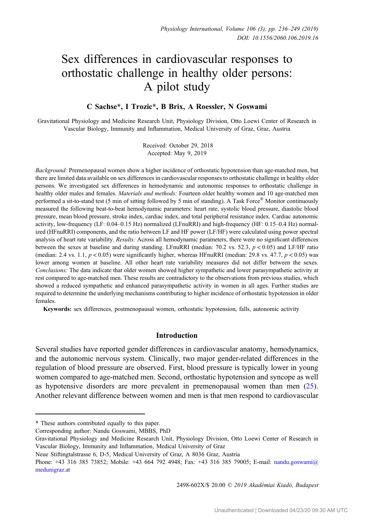# Sex differences in cardiovascular responses to orthostatic challenge in healthy older persons: A pilot study

# C Sachse\*, I Trozic\*, B Brix, A Roessler, N Goswami

Gravitational Physiology and Medicine Research Unit, Physiology Division, Otto Loewi Center of Research in Vascular Biology, Immunity and Inflammation, Medical University of Graz, Graz, Austria

> Received: October 29, 2018 Accepted: May 9, 2019

Background: Premenopausal women show a higher incidence of orthostatic hypotension than age-matched men, but there are limited data available on sex differences in cardiovascular responses to orthostatic challenge in healthy older persons. We investigated sex differences in hemodynamic and autonomic responses to orthostatic challenge in healthy older males and females. Materials and methods: Fourteen older healthy women and 10 age-matched men performed a sit-to-stand test (5 min of sitting followed by 5 min of standing). A Task Force® Monitor continuously measured the following beat-to-beat hemodynamic parameters: heart rate, systolic blood pressure, diastolic blood pressure, mean blood pressure, stroke index, cardiac index, and total peripheral resistance index. Cardiac autonomic activity, low-frequency (LF: 0.04–0.15 Hz) normalized (LFnuRRI) and high-frequency (HF: 0.15–0.4 Hz) normalized (HFnuRRI) components, and the ratio between LF and HF power (LF/HF) were calculated using power spectral analysis of heart rate variability. Results: Across all hemodynamic parameters, there were no significant differences between the sexes at baseline and during standing. LFnuRRI (median: 70.2 vs. 52.3,  $p < 0.05$ ) and LF/HF ratio (median: 2.4 vs. 1.1,  $p < 0.05$ ) were significantly higher, whereas HFnuRRI (median: 29.8 vs. 47.7,  $p < 0.05$ ) was lower among women at baseline. All other heart rate variability measures did not differ between the sexes. Conclusions: The data indicate that older women showed higher sympathetic and lower parasympathetic activity at rest compared to age-matched men. These results are contradictory to the observations from previous studies, which showed a reduced sympathetic and enhanced parasympathetic activity in women in all ages. Further studies are required to determine the underlying mechanisms contributing to higher incidence of orthostatic hypotension in older females.

Keywords: sex differences, postmenopausal women, orthostatic hypotension, falls, autonomic activity

## Introduction

Several studies have reported gender differences in cardiovascular anatomy, hemodynamics, and the autonomic nervous system. Clinically, two major gender-related differences in the regulation of blood pressure are observed. First, blood pressure is typically lower in young women compared to age-matched men. Second, orthostatic hypotension and syncope as well as hypotensive disorders are more prevalent in premenopausal women than men [\(25](#page-12-0)). Another relevant difference between women and men is that men respond to cardiovascular

Corresponding author: Nandu Goswami, MBBS, PhD

2498-602X/\$ 20.00 © 2019 Akadémiai Kiadó, Budapest

<sup>\*</sup> These authors contributed equally to this paper.

Gravitational Physiology and Medicine Research Unit, Physiology Division, Otto Loewi Center of Research in Vascular Biology, Immunity and Inflammation, Medical University of Graz

Neue Stiftingtalstrasse 6, D-5, Medical University of Graz, A 8036 Graz, Austria

Phone: +43 316 385 73852; Mobile: +43 664 792 4948; Fax: +43 316 385 79005; E-mail: [nandu.goswami@](mailto:nandu.goswami@medunigraz.at) [medunigraz.at](mailto:nandu.goswami@medunigraz.at)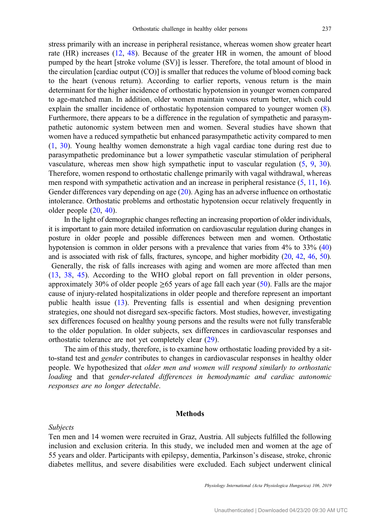stress primarily with an increase in peripheral resistance, whereas women show greater heart rate (HR) increases ([12,](#page-12-0) [48](#page-13-0)). Because of the greater HR in women, the amount of blood pumped by the heart [stroke volume (SV)] is lesser. Therefore, the total amount of blood in the circulation [cardiac output (CO)] is smaller that reduces the volume of blood coming back to the heart (venous return). According to earlier reports, venous return is the main determinant for the higher incidence of orthostatic hypotension in younger women compared to age-matched man. In addition, older women maintain venous return better, which could explain the smaller incidence of orthostatic hypotension compared to younger women [\(8](#page-11-0)). Furthermore, there appears to be a difference in the regulation of sympathetic and parasympathetic autonomic system between men and women. Several studies have shown that women have a reduced sympathetic but enhanced parasympathetic activity compared to men [\(1](#page-11-0), [30\)](#page-12-0). Young healthy women demonstrate a high vagal cardiac tone during rest due to parasympathetic predominance but a lower sympathetic vascular stimulation of peripheral vasculature, whereas men show high sympathetic input to vascular regulation [\(5](#page-11-0), [9,](#page-11-0) [30](#page-12-0)). Therefore, women respond to orthostatic challenge primarily with vagal withdrawal, whereas men respond with sympathetic activation and an increase in peripheral resistance [\(5](#page-11-0), [11](#page-11-0), [16](#page-12-0)). Gender differences vary depending on age [\(20](#page-12-0)). Aging has an adverse influence on orthostatic intolerance. Orthostatic problems and orthostatic hypotension occur relatively frequently in older people [\(20](#page-12-0), [40](#page-13-0)).

In the light of demographic changes reflecting an increasing proportion of older individuals, it is important to gain more detailed information on cardiovascular regulation during changes in posture in older people and possible differences between men and women. Orthostatic hypotension is common in older persons with a prevalence that varies from 4% to 33% [\(40\)](#page-13-0) and is associated with risk of falls, fractures, syncope, and higher morbidity [\(20](#page-12-0), [42,](#page-13-0) [46,](#page-13-0) [50](#page-13-0)). Generally, the risk of falls increases with aging and women are more affected than men [\(13](#page-12-0), [38](#page-13-0), [45](#page-13-0)). According to the WHO global report on fall prevention in older persons, approximately 30% of older people  $\geq$ 65 years of age fall each year [\(50](#page-13-0)). Falls are the major cause of injury-related hospitalizations in older people and therefore represent an important public health issue ([13\)](#page-12-0). Preventing falls is essential and when designing prevention strategies, one should not disregard sex-specific factors. Most studies, however, investigating sex differences focused on healthy young persons and the results were not fully transferable to the older population. In older subjects, sex differences in cardiovascular responses and orthostatic tolerance are not yet completely clear [\(29\)](#page-12-0).

The aim of this study, therefore, is to examine how orthostatic loading provided by a sitto-stand test and gender contributes to changes in cardiovascular responses in healthy older people. We hypothesized that older men and women will respond similarly to orthostatic loading and that gender-related differences in hemodynamic and cardiac autonomic responses are no longer detectable.

#### Methods

#### Subjects

Ten men and 14 women were recruited in Graz, Austria. All subjects fulfilled the following inclusion and exclusion criteria. In this study, we included men and women at the age of 55 years and older. Participants with epilepsy, dementia, Parkinson's disease, stroke, chronic diabetes mellitus, and severe disabilities were excluded. Each subject underwent clinical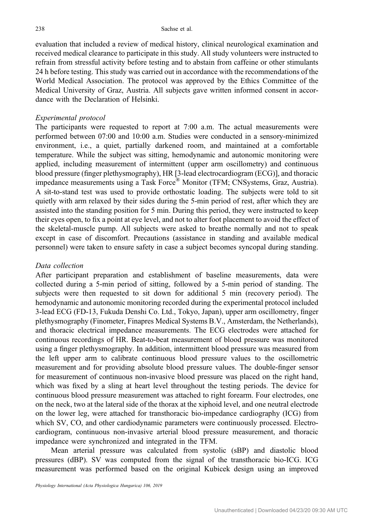evaluation that included a review of medical history, clinical neurological examination and received medical clearance to participate in this study. All study volunteers were instructed to refrain from stressful activity before testing and to abstain from caffeine or other stimulants 24 h before testing. This study was carried out in accordance with the recommendations of the World Medical Association. The protocol was approved by the Ethics Committee of the Medical University of Graz, Austria. All subjects gave written informed consent in accordance with the Declaration of Helsinki.

### Experimental protocol

The participants were requested to report at 7:00 a.m. The actual measurements were performed between 07:00 and 10:00 a.m. Studies were conducted in a sensory-minimized environment, i.e., a quiet, partially darkened room, and maintained at a comfortable temperature. While the subject was sitting, hemodynamic and autonomic monitoring were applied, including measurement of intermittent (upper arm oscillometry) and continuous blood pressure (finger plethysmography), HR [3-lead electrocardiogram (ECG)], and thoracic impedance measurements using a Task Force® Monitor (TFM; CNSystems, Graz, Austria). A sit-to-stand test was used to provide orthostatic loading. The subjects were told to sit quietly with arm relaxed by their sides during the 5-min period of rest, after which they are assisted into the standing position for 5 min. During this period, they were instructed to keep their eyes open, to fix a point at eye level, and not to alter foot placement to avoid the effect of the skeletal-muscle pump. All subjects were asked to breathe normally and not to speak except in case of discomfort. Precautions (assistance in standing and available medical personnel) were taken to ensure safety in case a subject becomes syncopal during standing.

#### Data collection

After participant preparation and establishment of baseline measurements, data were collected during a 5-min period of sitting, followed by a 5-min period of standing. The subjects were then requested to sit down for additional 5 min (recovery period). The hemodynamic and autonomic monitoring recorded during the experimental protocol included 3-lead ECG (FD-13, Fukuda Denshi Co. Ltd., Tokyo, Japan), upper arm oscillometry, finger plethysmography (Finometer, Finapres Medical Systems B.V., Amsterdam, the Netherlands), and thoracic electrical impedance measurements. The ECG electrodes were attached for continuous recordings of HR. Beat-to-beat measurement of blood pressure was monitored using a finger plethysmography. In addition, intermittent blood pressure was measured from the left upper arm to calibrate continuous blood pressure values to the oscillometric measurement and for providing absolute blood pressure values. The double-finger sensor for measurement of continuous non-invasive blood pressure was placed on the right hand, which was fixed by a sling at heart level throughout the testing periods. The device for continuous blood pressure measurement was attached to right forearm. Four electrodes, one on the neck, two at the lateral side of the thorax at the xiphoid level, and one neutral electrode on the lower leg, were attached for transthoracic bio-impedance cardiography (ICG) from which SV, CO, and other cardiodynamic parameters were continuously processed. Electrocardiogram, continuous non-invasive arterial blood pressure measurement, and thoracic impedance were synchronized and integrated in the TFM.

Mean arterial pressure was calculated from systolic (sBP) and diastolic blood pressures (dBP). SV was computed from the signal of the transthoracic bio-ICG. ICG measurement was performed based on the original Kubicek design using an improved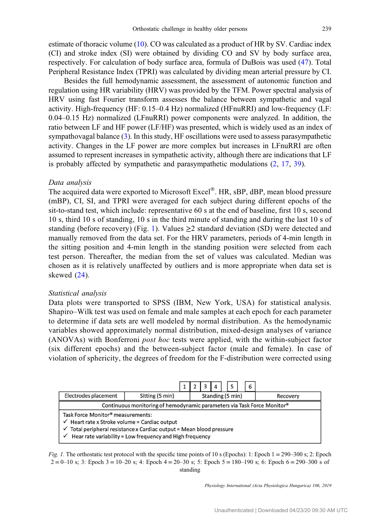estimate of thoracic volume [\(10](#page-11-0)). CO was calculated as a product of HR by SV. Cardiac index (CI) and stroke index (SI) were obtained by dividing CO and SV by body surface area, respectively. For calculation of body surface area, formula of DuBois was used [\(47](#page-13-0)). Total Peripheral Resistance Index (TPRI) was calculated by dividing mean arterial pressure by CI.

Besides the full hemodynamic assessment, the assessment of autonomic function and regulation using HR variability (HRV) was provided by the TFM. Power spectral analysis of HRV using fast Fourier transform assesses the balance between sympathetic and vagal activity. High-frequency (HF: 0.15–0.4 Hz) normalized (HFnuRRI) and low-frequency (LF: 0.04–0.15 Hz) normalized (LFnuRRI) power components were analyzed. In addition, the ratio between LF and HF power (LF/HF) was presented, which is widely used as an index of sympathovagal balance  $(3)$  $(3)$ . In this study, HF oscillations were used to assess parasympathetic activity. Changes in the LF power are more complex but increases in LFnuRRI are often assumed to represent increases in sympathetic activity, although there are indications that LF is probably affected by sympathetic and parasympathetic modulations [\(2](#page-11-0), [17](#page-12-0), [39](#page-13-0)).

#### Data analysis

The acquired data were exported to Microsoft Excel®. HR, sBP, dBP, mean blood pressure (mBP), CI, SI, and TPRI were averaged for each subject during different epochs of the sit-to-stand test, which include: representative 60 s at the end of baseline, first 10 s, second 10 s, third 10 s of standing, 10 s in the third minute of standing and during the last 10 s of standing (before recovery) (Fig. 1). Values  $\geq 2$  standard deviation (SD) were detected and manually removed from the data set. For the HRV parameters, periods of 4-min length in the sitting position and 4-min length in the standing position were selected from each test person. Thereafter, the median from the set of values was calculated. Median was chosen as it is relatively unaffected by outliers and is more appropriate when data set is skewed  $(24)$  $(24)$ .

# Statistical analysis

Data plots were transported to SPSS (IBM, New York, USA) for statistical analysis. Shapiro–Wilk test was used on female and male samples at each epoch for each parameter to determine if data sets are well modeled by normal distribution. As the hemodynamic variables showed approximately normal distribution, mixed-design analyses of variance (ANOVAs) with Bonferroni post hoc tests were applied, with the within-subject factor (six different epochs) and the between-subject factor (male and female). In case of violation of sphericity, the degrees of freedom for the F-distribution were corrected using

| 3<br>6<br>Δ                                                                                   |                                                                                                                                             |                                                                         |  |  |  |  |  |  |
|-----------------------------------------------------------------------------------------------|---------------------------------------------------------------------------------------------------------------------------------------------|-------------------------------------------------------------------------|--|--|--|--|--|--|
| Electrodes placement                                                                          | Sitting (5 min)<br>Standing (5 min)<br>Recovery                                                                                             |                                                                         |  |  |  |  |  |  |
|                                                                                               |                                                                                                                                             | Continuous monitoring of hemodynamic parameters via Task Force Monitor® |  |  |  |  |  |  |
| Task Force Monitor® measurements:<br>$\checkmark$ Heart rate x Stroke volume = Cardiac output | $\checkmark$ Total peripheral resistance x Cardiac output = Mean blood pressure<br>Hear rate variability = Low frequency and High frequency |                                                                         |  |  |  |  |  |  |

Fig. 1. The orthostatic test protocol with the specific time points of 10 s (Epochs): 1: Epoch  $1 = 290-300$  s; 2: Epoch  $2 = 0$ –10 s; 3: Epoch 3 = 10–20 s; 4: Epoch 4 = 20–30 s; 5: Epoch 5 = 180–190 s; 6: Epoch 6 = 290–300 s of standing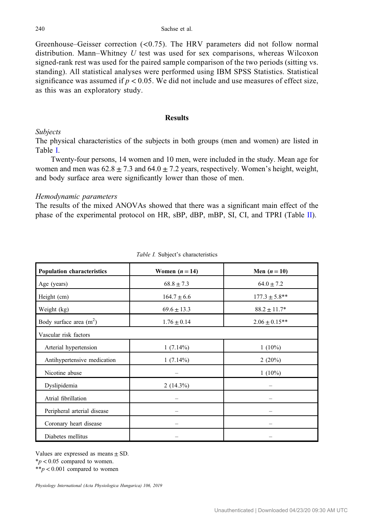Greenhouse–Geisser correction (<0.75). The HRV parameters did not follow normal distribution. Mann–Whitney U test was used for sex comparisons, whereas Wilcoxon signed-rank rest was used for the paired sample comparison of the two periods (sitting vs. standing). All statistical analyses were performed using IBM SPSS Statistics. Statistical significance was assumed if  $p < 0.05$ . We did not include and use measures of effect size, as this was an exploratory study.

# **Results**

## Subjects

The physical characteristics of the subjects in both groups (men and women) are listed in Table I.

Twenty-four persons, 14 women and 10 men, were included in the study. Mean age for women and men was  $62.8 \pm 7.3$  and  $64.0 \pm 7.2$  years, respectively. Women's height, weight, and body surface area were significantly lower than those of men.

#### Hemodynamic parameters

The results of the mixed ANOVAs showed that there was a significant main effect of the phase of the experimental protocol on HR, sBP, dBP, mBP, SI, CI, and TPRI (Table [II\)](#page-5-0).

| <b>Population characteristics</b> | Women $(n=14)$  | Men $(n=10)$       |  |
|-----------------------------------|-----------------|--------------------|--|
| Age (years)                       | $68.8 \pm 7.3$  | $64.0 \pm 7.2$     |  |
| Height (cm)                       | $164.7 \pm 6.6$ | $177.3 \pm 5.8$ ** |  |
| Weight (kg)                       | $69.6 \pm 13.3$ | $88.2 \pm 11.7*$   |  |
| Body surface area $(m2)$          | $1.76 \pm 0.14$ | $2.06 \pm 0.15**$  |  |
| Vascular risk factors             |                 |                    |  |
| Arterial hypertension             | $1(7.14\%)$     | $1(10\%)$          |  |
| Antihypertensive medication       | $1(7.14\%)$     | 2(20%)             |  |
| Nicotine abuse                    | -               | $1(10\%)$          |  |
| Dyslipidemia                      | $2(14.3\%)$     |                    |  |
| Atrial fibrillation               |                 |                    |  |
| Peripheral arterial disease       | -               |                    |  |
| Coronary heart disease            |                 |                    |  |
| Diabetes mellitus                 |                 |                    |  |

Values are expressed as means  $\pm$  SD.

 $*p$  < 0.05 compared to women.

\*\* $p$  < 0.001 compared to women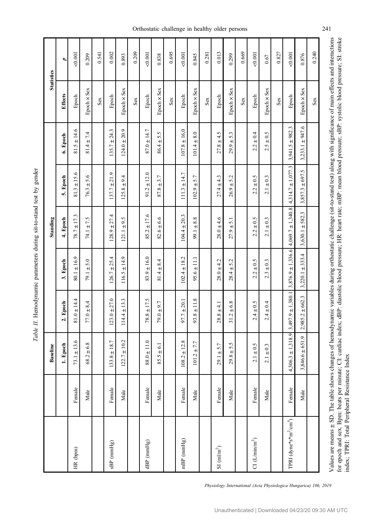| í<br>í<br>$\overline{\phantom{a}}$           |
|----------------------------------------------|
| i<br>֡֡֡֡֡<br>i                              |
| l<br>l<br>í                                  |
| Ì<br>۱<br>$\overline{\phantom{a}}$<br>i<br>֚ |
| i<br>i                                       |
| ۱<br>i<br>i<br>ı                             |
| l<br>l<br>ı<br>í<br>í                        |
| í<br>ı<br>ı<br>í<br>ļ<br>۱<br>Ï              |
| Ì<br>l<br>ı                                  |
| l<br>l<br>l                                  |

<span id="page-5-0"></span>

|                                                |              | <b>Baseline</b>       |                       |                       | Standing              |                       |                     | <b>Statistics</b> |       |
|------------------------------------------------|--------------|-----------------------|-----------------------|-----------------------|-----------------------|-----------------------|---------------------|-------------------|-------|
|                                                |              | 1. Epoch              | 2. Epoch              | 3. Epoch              | 4. Epoch              | 5. Epoch              | 6. Epoch            | <b>Effects</b>    | p     |
| HR (bpm)                                       | Female       | $73.1 \pm 13.6$       | $81.0 \pm 14.4$       | $80.1 \pm 16.9$       | $78.7 \pm 17.3$       | $81.3 \pm 15.6$       | $81.5 \pm 14.6$     | Epoch             | 0.001 |
|                                                | $\rm {Male}$ | $68.2 \pm 6.8$        | $77.0 \pm 8,4$        | $79.1 \pm 5.0$        | $74.1 \pm 7.5$        | $76.3 \pm 5.6$        | $81.4 \pm 7.4$      | Epoch × Sex       | 0.209 |
|                                                |              |                       |                       |                       |                       |                       |                     | Sex               | 0.541 |
| sBP (mmHg)                                     | Female       | $133.8 \pm 18.7$      | $123.0 \pm 27.0$      | $126.7 \pm 25.4$      | $128.9 \pm 27.4$      | $137.7 \pm 21.9$      | $135.7 \pm 24.3$    | Epoch             | 0.002 |
|                                                | Male         | $122.7 \pm 10.2$      | $114.4 \pm 13.3$      | $116.5 \pm 14.9$      | $121.1 \pm 9.5$       | $125.8 \pm 9.4$       | $124.0 \pm 20.9$    | Epoch × Sex       | 0.893 |
|                                                |              |                       |                       |                       |                       |                       |                     | Sex               | 0.209 |
| dBP (mmHg)                                     | Female       | $88.0 \pm 11.0$       | $78.8 \pm 17.5$       | $83.9 \pm 16.0$       | $85.2 \pm 17.6$       | $91.2 \pm 12.0$       | $87.0 \pm 14.7$     | Epoch             | 0.001 |
|                                                | Male         | $85.5 \pm 6.1$        | $79.0 \pm 9.7$        | $81.4 \pm 8.4$        | $82.6 \pm 6.6$        | $87.8 \pm 3.7$        | $86.4 \pm 5.5$      | Epoch × Sex       | 0.838 |
|                                                |              |                       |                       |                       |                       |                       |                     | Sex               | 0.695 |
| mBP (mmHg)                                     | Female       | $108.2 \pm 12.8$      | $97.7 \pm 20.1$       | $102.4 \pm 18.2$      | $104.4 \pm 20.3$      | $111.3 \pm 14.7$      | $107.8 \pm 16,0$    | Epoch             | 0.001 |
|                                                | $\rm {Male}$ | $101.2 \pm 7.7$       | $93.8 \pm 11.8$       | $95.6 \pm 11.1$       | $99.1 \pm 8.8$        | $102.9 \pm 5.7$       | $101.4 \pm 8.0$     | Epoch × Sex       | 0.845 |
|                                                |              |                       |                       |                       |                       |                       |                     | Sex               | 0.281 |
| $\mathrm{SI}~(\mathrm{m}l/\mathrm{m}^2)$       | Female       | $29.1 \pm 5.7$        | $28.8 \pm 4.1$        | $28.0 \pm 4.2$        | $28.0 \pm 4.6$        | $27.4 \pm 4.3$        | $27.8 \pm 4.5$      | Epoch             | 0.013 |
|                                                | Male         | $29.8 \pm 5.5$        | $31.2 \pm 6.8$        | $28.4 \pm 5.2$        | $27.9 \pm 5.1$        | $26.9 \pm 5.2$        | $29.9 \pm 5.3$      | Epoch × Sex       | 0.299 |
|                                                |              |                       |                       |                       |                       |                       |                     | Sex               | 0.669 |
| CI(L/min/m <sup>2</sup> )                      | Female       | $2.1 \pm 0.5$         | $2.4 \pm 0.5$         | $2.2 \pm 0.5$         | $2.2 \pm 0.5$         | $2.2 \pm 0.5$         | $2.2 \pm 0.4$       | Epoch             | 0.001 |
|                                                | Male         | $2.1 \pm 0.3$         | $2.4 \pm 0.4$         | $2.3 \pm 0.3$         | $2.1 \pm 0.3$         | $2.1 \pm 0.3$         | $2.5 \pm 0.5$       | Epoch × Sex       | 0.67  |
|                                                |              |                       |                       |                       |                       |                       |                     | Sex               | 0.827 |
| TPRI (dyne*s*m <sup>2</sup> /cm <sup>5</sup> ) | Female       | $4,306.3 \pm 1,318.9$ | $3,497.9 \pm 1,380.1$ | $3,876.9 \pm 1,336.6$ | $4,069.7 \pm 1,340.8$ | $4,314.7 \pm 1,077.3$ | $3,941.5 \pm 982.3$ | Epoch             | 0.001 |
|                                                | Male         | $3,846.6 \pm 651.9$   | $2,985.2 \pm 662.3$   | $3,220.1 \pm 333.4$   | $3,630.1 \pm 582.3$   | $3,857.3 \pm 697.5$   | $3,233.1 \pm 947.6$ | Epoch × Sex       | 0.876 |
|                                                |              |                       |                       |                       |                       |                       |                     | Sex               | 0.240 |
|                                                |              |                       |                       |                       |                       |                       |                     |                   |       |

Values are means ± SD. The table shows changes of hemodynamic variables during orthostatic challenge (sit-to-stand test) along with significance of main effects and interactions for epoch and sex. Bpm: beats per minute; CI: cardiac index; dBP: diastolic blood pressure; HR: heart rate; mBP: mean blood pressure; sBP: systolic blood pressure; SI: stroke SD. The table shows changes of hemodynamic variables during orthostatic challenge (sit-to-stand test) along with significance of main effects and interactions for epoch and sex. Bpm: beats per minute; CI: cardiac index; dBP: diastolic blood pressure; HR: heart rate; mBP: mean blood pressure; sBP: systolic blood pressure; SI: stroke index; TPRI: Total Peripheral Resistance Index index; TPRI: Total Peripheral Resistance Index Values are means

Physiology International (Acta Physiologica Hungarica) 106, 2019

#### Orthostatic challenge in healthy older persons 241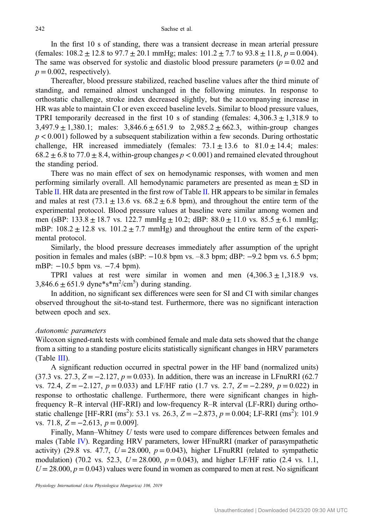In the first 10 s of standing, there was a transient decrease in mean arterial pressure (females:  $108.2 \pm 12.8$  to  $97.7 \pm 20.1$  mmHg; males:  $101.2 \pm 7.7$  to  $93.8 \pm 11.8$ ,  $p = 0.004$ ). The same was observed for systolic and diastolic blood pressure parameters  $(p = 0.02$  and  $p = 0.002$ , respectively).

Thereafter, blood pressure stabilized, reached baseline values after the third minute of standing, and remained almost unchanged in the following minutes. In response to orthostatic challenge, stroke index decreased slightly, but the accompanying increase in HR was able to maintain CI or even exceed baseline levels. Similar to blood pressure values, TPRI temporarily decreased in the first 10 s of standing (females:  $4,306.3 \pm 1,318.9$  to  $3,497.9 \pm 1,380.1$ ; males:  $3,846.6 \pm 651.9$  to  $2,985.2 \pm 662.3$ , within-group changes  $p < 0.001$ ) followed by a subsequent stabilization within a few seconds. During orthostatic challenge, HR increased immediately (females:  $73.1 \pm 13.6$  to  $81.0 \pm 14.4$ ; males:  $68.2 \pm 6.8$  to  $77.0 \pm 8.4$ , within-group changes  $p < 0.001$ ) and remained elevated throughout the standing period.

There was no main effect of sex on hemodynamic responses, with women and men performing similarly overall. All hemodynamic parameters are presented as mean  $\pm$  SD in Table [II.](#page-5-0) HR data are presented in the first row of Table [II.](#page-5-0) HR appears to be similar in females and males at rest  $(73.1 \pm 13.6 \text{ vs. } 68.2 \pm 6.8 \text{ bpm})$ , and throughout the entire term of the experimental protocol. Blood pressure values at baseline were similar among women and men (sBP: 133.8 ± 18.7 vs. 122.7 mmHg ± 10.2; dBP: 88.0 ± 11.0 vs. 85.5 ± 6.1 mmHg; mBP:  $108.2 \pm 12.8$  vs.  $101.2 \pm 7.7$  mmHg) and throughout the entire term of the experimental protocol.

Similarly, the blood pressure decreases immediately after assumption of the upright position in females and males (sBP: −10.8 bpm vs. –8.3 bpm; dBP: −9.2 bpm vs. 6.5 bpm; mBP: −10.5 bpm vs. −7.4 bpm).

TPRI values at rest were similar in women and men  $(4,306.3 \pm 1,318.9 \text{ vs.})$  $3,846.6 \pm 651.9$  dyne\*s\*m<sup>2</sup>/cm<sup>5</sup>) during standing.

In addition, no significant sex differences were seen for SI and CI with similar changes observed throughout the sit-to-stand test. Furthermore, there was no significant interaction between epoch and sex.

#### Autonomic parameters

Wilcoxon signed-rank tests with combined female and male data sets showed that the change from a sitting to a standing posture elicits statistically significant changes in HRV parameters (Table [III\)](#page-7-0).

A significant reduction occurred in spectral power in the HF band (normalized units) (37.3 vs. 27.3,  $Z = -2.127$ ,  $p = 0.033$ ). In addition, there was an increase in LFnuRRI (62.7) vs. 72.4,  $Z = -2.127$ ,  $p = 0.033$ ) and LF/HF ratio (1.7 vs. 2.7,  $Z = -2.289$ ,  $p = 0.022$ ) in response to orthostatic challenge. Furthermore, there were significant changes in highfrequency R–R interval (HF-RRI) and low-frequency R–R interval (LF-RRI) during orthostatic challenge [HF-RRI (ms<sup>2</sup>): 53.1 vs. 26.3,  $Z = -2.873$ ,  $p = 0.004$ ; LF-RRI (ms<sup>2</sup>): 101.9 vs. 71.8,  $Z = -2.613$ ,  $p = 0.009$ ].

Finally, Mann–Whitney U tests were used to compare differences between females and males (Table [IV\)](#page-7-0). Regarding HRV parameters, lower HFnuRRI (marker of parasympathetic activity) (29.8 vs. 47.7,  $U = 28.000$ ,  $p = 0.043$ ), higher LFnuRRI (related to sympathetic modulation) (70.2 vs. 52.3,  $U = 28.000$ ,  $p = 0.043$ ), and higher LF/HF ratio (2.4 vs. 1.1,  $U = 28.000$ ,  $p = 0.043$ ) values were found in women as compared to men at rest. No significant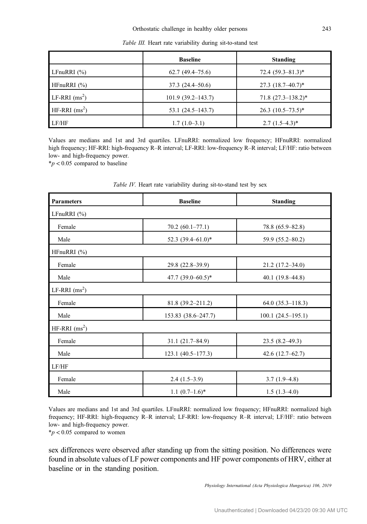<span id="page-7-0"></span>

|                 | <b>Baseline</b>     | <b>Standing</b>           |
|-----------------|---------------------|---------------------------|
| LFnuRRI $(\% )$ | $62.7(49.4-75.6)$   | $72.4 (59.3 - 81.3)^*$    |
| HFnuRRI $(\% )$ | $37.3(24.4 - 50.6)$ | $27.3$ $(18.7-40.7)^*$    |
| LF-RRI $(ms^2)$ | $101.9(39.2-143.7)$ | $71.8$ $(27.3 - 138.2)^*$ |
| HF-RRI $(ms^2)$ | $53.1(24.5-143.7)$  | $26.3 (10.5 - 73.5)^*$    |
| LF/HF           | $1.7(1.0-3.1)$      | $2.7(1.5-4.3)^*$          |

Table III. Heart rate variability during sit-to-stand test

Values are medians and 1st and 3rd quartiles. LFnuRRI: normalized low frequency; HFnuRRI: normalized high frequency; HF-RRI: high-frequency R–R interval; LF-RRI: low-frequency R–R interval; LF/HF: ratio between low- and high-frequency power.

 $*p < 0.05$  compared to baseline

| <b>Parameters</b>      | <b>Baseline</b>        | <b>Standing</b>      |  |  |  |
|------------------------|------------------------|----------------------|--|--|--|
| LFnuRRI (%)            |                        |                      |  |  |  |
| Female                 | $70.2 (60.1 - 77.1)$   | 78.8 (65.9-82.8)     |  |  |  |
| Male                   | 52.3 $(39.4 - 61.0)^*$ | 59.9 (55.2–80.2)     |  |  |  |
| HFnuRRI (%)            |                        |                      |  |  |  |
| Female                 | 29.8 (22.8-39.9)       | $21.2(17.2 - 34.0)$  |  |  |  |
| Male                   | 47.7 $(39.0 - 60.5)^*$ | 40.1 $(19.8 - 44.8)$ |  |  |  |
| LF-RRI $(ms^2)$        |                        |                      |  |  |  |
| Female                 | $81.8(39.2 - 211.2)$   | $64.0(35.3-118.3)$   |  |  |  |
| Male                   | 153.83 (38.6–247.7)    | $100.1(24.5-195.1)$  |  |  |  |
| HF-RRI $\text{(ms}^2)$ |                        |                      |  |  |  |
| Female                 | $31.1(21.7 - 84.9)$    | $23.5(8.2 - 49.3)$   |  |  |  |
| Male                   | $123.1 (40.5 - 177.3)$ | 42.6(12.7–62.7)      |  |  |  |
| LF/HF                  |                        |                      |  |  |  |
| Female                 | $2.4(1.5-3.9)$         | $3.7(1.9-4.8)$       |  |  |  |
| Male                   | $1.1 (0.7-1.6)^*$      | $1.5(1.3-4.0)$       |  |  |  |

|  |  |  |  |  |  |  | <i>Table IV</i> . Heart rate variability during sit-to-stand test by sex |  |  |  |
|--|--|--|--|--|--|--|--------------------------------------------------------------------------|--|--|--|
|--|--|--|--|--|--|--|--------------------------------------------------------------------------|--|--|--|

Values are medians and 1st and 3rd quartiles. LFnuRRI: normalized low frequency; HFnuRRI: normalized high frequency; HF-RRI: high-frequency R–R interval; LF-RRI: low-frequency R–R interval; LF/HF: ratio between low- and high-frequency power.

 $*p$  < 0.05 compared to women

sex differences were observed after standing up from the sitting position. No differences were found in absolute values of LF power components and HF power components of HRV, either at baseline or in the standing position.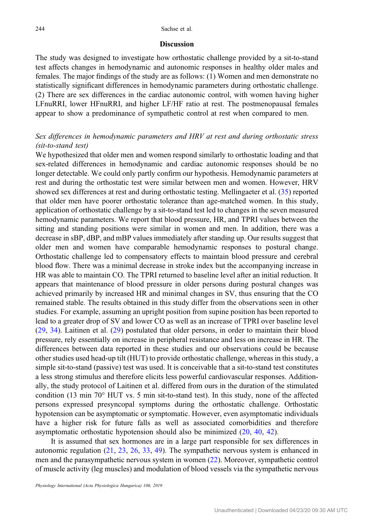### **Discussion**

The study was designed to investigate how orthostatic challenge provided by a sit-to-stand test affects changes in hemodynamic and autonomic responses in healthy older males and females. The major findings of the study are as follows: (1) Women and men demonstrate no statistically significant differences in hemodynamic parameters during orthostatic challenge. (2) There are sex differences in the cardiac autonomic control, with women having higher LFnuRRI, lower HFnuRRI, and higher LF/HF ratio at rest. The postmenopausal females appear to show a predominance of sympathetic control at rest when compared to men.

# Sex differences in hemodynamic parameters and HRV at rest and during orthostatic stress (sit-to-stand test)

We hypothesized that older men and women respond similarly to orthostatic loading and that sex-related differences in hemodynamic and cardiac autonomic responses should be no longer detectable. We could only partly confirm our hypothesis. Hemodynamic parameters at rest and during the orthostatic test were similar between men and women. However, HRV showed sex differences at rest and during orthostatic testing. Mellingaeter et al. [\(35](#page-12-0)) reported that older men have poorer orthostatic tolerance than age-matched women. In this study, application of orthostatic challenge by a sit-to-stand test led to changes in the seven measured hemodynamic parameters. We report that blood pressure, HR, and TPRI values between the sitting and standing positions were similar in women and men. In addition, there was a decrease in sBP, dBP, and mBP values immediately after standing up. Our results suggest that older men and women have comparable hemodynamic responses to postural change. Orthostatic challenge led to compensatory effects to maintain blood pressure and cerebral blood flow. There was a minimal decrease in stroke index but the accompanying increase in HR was able to maintain CO. The TPRI returned to baseline level after an initial reduction. It appears that maintenance of blood pressure in older persons during postural changes was achieved primarily by increased HR and minimal changes in SV, thus ensuring that the CO remained stable. The results obtained in this study differ from the observations seen in other studies. For example, assuming an upright position from supine position has been reported to lead to a greater drop of SV and lower CO as well as an increase of TPRI over baseline level [\(29](#page-12-0), [34](#page-12-0)). Laitinen et al. ([29\)](#page-12-0) postulated that older persons, in order to maintain their blood pressure, rely essentially on increase in peripheral resistance and less on increase in HR. The differences between data reported in these studies and our observations could be because other studies used head-up tilt (HUT) to provide orthostatic challenge, whereas in this study, a simple sit-to-stand (passive) test was used. It is conceivable that a sit-to-stand test constitutes a less strong stimulus and therefore elicits less powerful cardiovascular responses. Additionally, the study protocol of Laitinen et al. differed from ours in the duration of the stimulated condition (13 min 70° HUT vs. 5 min sit-to-stand test). In this study, none of the affected persons expressed presyncopal symptoms during the orthostatic challenge. Orthostatic hypotension can be asymptomatic or symptomatic. However, even asymptomatic individuals have a higher risk for future falls as well as associated comorbidities and therefore asymptomatic orthostatic hypotension should also be minimized ([20,](#page-12-0) [40,](#page-13-0) [42\)](#page-13-0).

It is assumed that sex hormones are in a large part responsible for sex differences in autonomic regulation ([21,](#page-12-0) [23](#page-12-0), [26](#page-12-0), [33,](#page-12-0) [49\)](#page-13-0). The sympathetic nervous system is enhanced in men and the parasympathetic nervous system in women ([22\)](#page-12-0). Moreover, sympathetic control of muscle activity (leg muscles) and modulation of blood vessels via the sympathetic nervous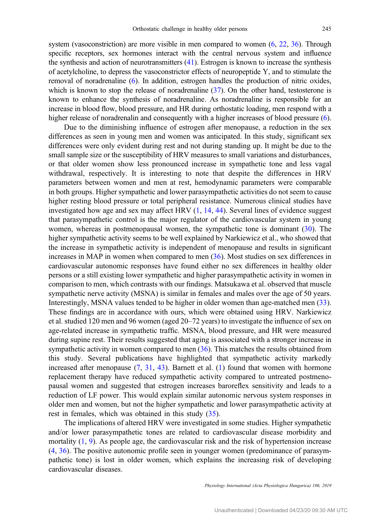system (vasoconstriction) are more visible in men compared to women ([6,](#page-11-0) [22](#page-12-0), [36](#page-12-0)). Through specific receptors, sex hormones interact with the central nervous system and influence the synthesis and action of neurotransmitters [\(41](#page-13-0)). Estrogen is known to increase the synthesis of acetylcholine, to depress the vasoconstrictor effects of neuropeptide Y, and to stimulate the removal of noradrenaline ([6](#page-11-0)). In addition, estrogen handles the production of nitric oxides, which is known to stop the release of noradrenaline ([37\)](#page-13-0). On the other hand, testosterone is known to enhance the synthesis of noradrenaline. As noradrenaline is responsible for an increase in blood flow, blood pressure, and HR during orthostatic loading, men respond with a higher release of noradrenalin and consequently with a higher increases of blood pressure [\(6](#page-11-0)).

Due to the diminishing influence of estrogen after menopause, a reduction in the sex differences as seen in young men and women was anticipated. In this study, significant sex differences were only evident during rest and not during standing up. It might be due to the small sample size or the susceptibility of HRV measures to small variations and disturbances, or that older women show less pronounced increase in sympathetic tone and less vagal withdrawal, respectively. It is interesting to note that despite the differences in HRV parameters between women and men at rest, hemodynamic parameters were comparable in both groups. Higher sympathetic and lower parasympathetic activities do not seem to cause higher resting blood pressure or total peripheral resistance. Numerous clinical studies have investigated how age and sex may affect HRV [\(1](#page-11-0), [14](#page-12-0), [44\)](#page-13-0). Several lines of evidence suggest that parasympathetic control is the major regulator of the cardiovascular system in young women, whereas in postmenopausal women, the sympathetic tone is dominant ([30\)](#page-12-0). The higher sympathetic activity seems to be well explained by Narkiewicz et al., who showed that the increase in sympathetic activity is independent of menopause and results in significant increases in MAP in women when compared to men ([36\)](#page-12-0). Most studies on sex differences in cardiovascular autonomic responses have found either no sex differences in healthy older persons or a still existing lower sympathetic and higher parasympathetic activity in women in comparison to men, which contrasts with our findings. Matsukawa et al. observed that muscle sympathetic nerve activity (MSNA) is similar in females and males over the age of 50 years. Interestingly, MSNA values tended to be higher in older women than age-matched men [\(33](#page-12-0)). These findings are in accordance with ours, which were obtained using HRV. Narkiewicz et al. studied 120 men and 96 women (aged 20–72 years) to investigate the influence of sex on age-related increase in sympathetic traffic. MSNA, blood pressure, and HR were measured during supine rest. Their results suggested that aging is associated with a stronger increase in sympathetic activity in women compared to men ([36\)](#page-12-0). This matches the results obtained from this study. Several publications have highlighted that sympathetic activity markedly increased after menopause  $(7, 31, 43)$  $(7, 31, 43)$  $(7, 31, 43)$  $(7, 31, 43)$  $(7, 31, 43)$  $(7, 31, 43)$ . Barnett et al.  $(1)$  $(1)$  found that women with hormone replacement therapy have reduced sympathetic activity compared to untreated postmenopausal women and suggested that estrogen increases baroreflex sensitivity and leads to a reduction of LF power. This would explain similar autonomic nervous system responses in older men and women, but not the higher sympathetic and lower parasympathetic activity at rest in females, which was obtained in this study [\(35](#page-12-0)).

The implications of altered HRV were investigated in some studies. Higher sympathetic and/or lower parasympathetic tones are related to cardiovascular disease morbidity and mortality  $(1, 9)$  $(1, 9)$  $(1, 9)$  $(1, 9)$ . As people age, the cardiovascular risk and the risk of hypertension increase [\(4](#page-11-0), [36\)](#page-12-0). The positive autonomic profile seen in younger women (predominance of parasympathetic tone) is lost in older women, which explains the increasing risk of developing cardiovascular diseases.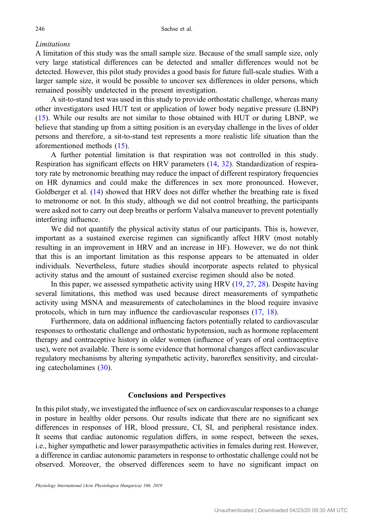#### **Limitations**

A limitation of this study was the small sample size. Because of the small sample size, only very large statistical differences can be detected and smaller differences would not be detected. However, this pilot study provides a good basis for future full-scale studies. With a larger sample size, it would be possible to uncover sex differences in older persons, which remained possibly undetected in the present investigation.

A sit-to-stand test was used in this study to provide orthostatic challenge, whereas many other investigators used HUT test or application of lower body negative pressure (LBNP) [\(15](#page-12-0)). While our results are not similar to those obtained with HUT or during LBNP, we believe that standing up from a sitting position is an everyday challenge in the lives of older persons and therefore, a sit-to-stand test represents a more realistic life situation than the aforementioned methods [\(15](#page-12-0)).

A further potential limitation is that respiration was not controlled in this study. Respiration has significant effects on HRV parameters ([14,](#page-12-0) [32](#page-12-0)). Standardization of respiratory rate by metronomic breathing may reduce the impact of different respiratory frequencies on HR dynamics and could make the differences in sex more pronounced. However, Goldberger et al. [\(14](#page-12-0)) showed that HRV does not differ whether the breathing rate is fixed to metronome or not. In this study, although we did not control breathing, the participants were asked not to carry out deep breaths or perform Valsalva maneuver to prevent potentially interfering influence.

We did not quantify the physical activity status of our participants. This is, however, important as a sustained exercise regimen can significantly affect HRV (most notably resulting in an improvement in HRV and an increase in HF). However, we do not think that this is an important limitation as this response appears to be attenuated in older individuals. Nevertheless, future studies should incorporate aspects related to physical activity status and the amount of sustained exercise regimen should also be noted.

In this paper, we assessed sympathetic activity using HRV ([19,](#page-12-0) [27,](#page-12-0) [28\)](#page-12-0). Despite having several limitations, this method was used because direct measurements of sympathetic activity using MSNA and measurements of catecholamines in the blood require invasive protocols, which in turn may influence the cardiovascular responses ([17,](#page-12-0) [18\)](#page-12-0).

Furthermore, data on additional influencing factors potentially related to cardiovascular responses to orthostatic challenge and orthostatic hypotension, such as hormone replacement therapy and contraceptive history in older women (influence of years of oral contraceptive use), were not available. There is some evidence that hormonal changes affect cardiovascular regulatory mechanisms by altering sympathetic activity, baroreflex sensitivity, and circulating catecholamines ([30\)](#page-12-0).

# Conclusions and Perspectives

In this pilot study, we investigated the influence of sex on cardiovascular responses to a change in posture in healthy older persons. Our results indicate that there are no significant sex differences in responses of HR, blood pressure, CI, SI, and peripheral resistance index. It seems that cardiac autonomic regulation differs, in some respect, between the sexes, i.e., higher sympathetic and lower parasympathetic activities in females during rest. However, a difference in cardiac autonomic parameters in response to orthostatic challenge could not be observed. Moreover, the observed differences seem to have no significant impact on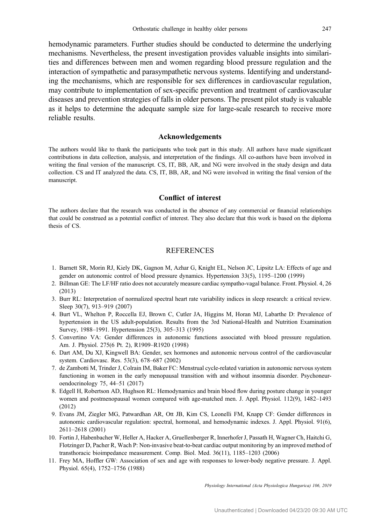<span id="page-11-0"></span>hemodynamic parameters. Further studies should be conducted to determine the underlying mechanisms. Nevertheless, the present investigation provides valuable insights into similarities and differences between men and women regarding blood pressure regulation and the interaction of sympathetic and parasympathetic nervous systems. Identifying and understanding the mechanisms, which are responsible for sex differences in cardiovascular regulation, may contribute to implementation of sex-specific prevention and treatment of cardiovascular diseases and prevention strategies of falls in older persons. The present pilot study is valuable as it helps to determine the adequate sample size for large-scale research to receive more reliable results.

# Acknowledgements

The authors would like to thank the participants who took part in this study. All authors have made significant contributions in data collection, analysis, and interpretation of the findings. All co-authors have been involved in writing the final version of the manuscript. CS, IT, BB, AR, and NG were involved in the study design and data collection. CS and IT analyzed the data. CS, IT, BB, AR, and NG were involved in writing the final version of the manuscript.

#### Conflict of interest

The authors declare that the research was conducted in the absence of any commercial or financial relationships that could be construed as a potential conflict of interest. They also declare that this work is based on the diploma thesis of CS.

## REFERENCES

- 1. Barnett SR, Morin RJ, Kiely DK, Gagnon M, Azhar G, Knight EL, Nelson JC, Lipsitz LA: Effects of age and gender on autonomic control of blood pressure dynamics. Hypertension 33(5), 1195–1200 (1999)
- 2. Billman GE: The LF/HF ratio does not accurately measure cardiac sympatho-vagal balance. Front. Physiol. 4, 26 (2013)
- 3. Burr RL: Interpretation of normalized spectral heart rate variability indices in sleep research: a critical review. Sleep 30(7), 913–919 (2007)
- 4. Burt VL, Whelton P, Roccella EJ, Brown C, Cutler JA, Higgins M, Horan MJ, Labarthe D: Prevalence of hypertension in the US adult-population. Results from the 3rd National-Health and Nutrition Examination Survey, 1988–1991. Hypertension 25(3), 305–313 (1995)
- 5. Convertino VA: Gender differences in autonomic functions associated with blood pressure regulation. Am. J. Physiol. 275(6 Pt. 2), R1909–R1920 (1998)
- 6. Dart AM, Du XJ, Kingwell BA: Gender, sex hormones and autonomic nervous control of the cardiovascular system. Cardiovasc. Res. 53(3), 678–687 (2002)
- 7. de Zambotti M, Trinder J, Colrain IM, Baker FC: Menstrual cycle-related variation in autonomic nervous system functioning in women in the early menopausal transition with and without insomnia disorder. Psychoneuroendocrinology 75, 44–51 (2017)
- 8. Edgell H, Robertson AD, Hughson RL: Hemodynamics and brain blood flow during posture change in younger women and postmenopausal women compared with age-matched men. J. Appl. Physiol. 112(9), 1482–1493 (2012)
- 9. Evans JM, Ziegler MG, Patwardhan AR, Ott JB, Kim CS, Leonelli FM, Knapp CF: Gender differences in autonomic cardiovascular regulation: spectral, hormonal, and hemodynamic indexes. J. Appl. Physiol. 91(6), 2611–2618 (2001)
- 10. Fortin J, Habenbacher W, Heller A, Hacker A, Gruellenberger R, Innerhofer J, Passath H, Wagner Ch, Haitchi G, Flotzinger D, Pacher R, Wach P: Non-invasive beat-to-beat cardiac output monitoring by an improved method of transthoracic bioimpedance measurement. Comp. Biol. Med. 36(11), 1185–1203 (2006)
- 11. Frey MA, Hoffler GW: Association of sex and age with responses to lower-body negative pressure. J. Appl. Physiol. 65(4), 1752–1756 (1988)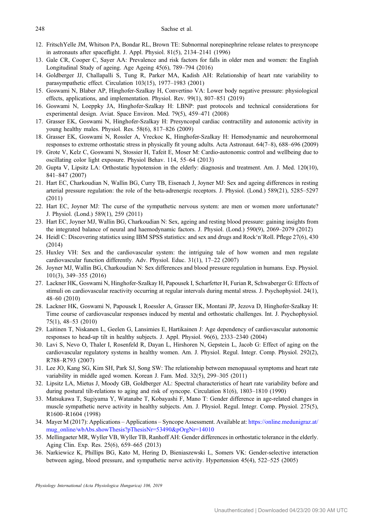- <span id="page-12-0"></span>12. FritschYelle JM, Whitson PA, Bondar RL, Brown TE: Subnormal norepinephrine release relates to presyncope in astronauts after spaceflight. J. Appl. Physiol. 81(5), 2134–2141 (1996)
- 13. Gale CR, Cooper C, Sayer AA: Prevalence and risk factors for falls in older men and women: the English Longitudinal Study of ageing. Age Ageing 45(6), 789–794 (2016)
- 14. Goldberger JJ, Challapalli S, Tung R, Parker MA, Kadish AH: Relationship of heart rate variability to parasympathetic effect. Circulation 103(15), 1977–1983 (2001)
- 15. Goswami N, Blaber AP, Hinghofer-Szalkay H, Convertino VA: Lower body negative pressure: physiological effects, applications, and implementation. Physiol. Rev. 99(1), 807–851 (2019)
- 16. Goswami N, Loeppky JA, Hinghofer-Szalkay H: LBNP: past protocols and technical considerations for experimental design. Aviat. Space Environ. Med. 79(5), 459–471 (2008)
- 17. Grasser EK, Goswami N, Hinghofer-Szalkay H: Presyncopal cardiac contractility and autonomic activity in young healthy males. Physiol. Res. 58(6), 817–826 (2009)
- 18. Grasser EK, Goswami N, Rossler A, Vreckoc K, Hinghofer-Szalkay H: Hemodynamic and neurohormonal responses to extreme orthostatic stress in physically fit young adults. Acta Astronaut. 64(7–8), 688–696 (2009)
- 19. Grote V, Kelz C, Goswami N, Stossier H, Tafeit E, Moser M: Cardio-autonomic control and wellbeing due to oscillating color light exposure. Physiol Behav. 114, 55–64 (2013)
- 20. Gupta V, Lipsitz LA: Orthostatic hypotension in the elderly: diagnosis and treatment. Am. J. Med. 120(10), 841–847 (2007)
- 21. Hart EC, Charkoudian N, Wallin BG, Curry TB, Eisenach J, Joyner MJ: Sex and ageing differences in resting arterial pressure regulation: the role of the beta-adrenergic receptors. J. Physiol. (Lond.) 589(21), 5285–5297 (2011)
- 22. Hart EC, Joyner MJ: The curse of the sympathetic nervous system: are men or women more unfortunate? J. Physiol. (Lond.) 589(1), 259 (2011)
- 23. Hart EC, Joyner MJ, Wallin BG, Charkoudian N: Sex, ageing and resting blood pressure: gaining insights from the integrated balance of neural and haemodynamic factors. J. Physiol. (Lond.) 590(9), 2069–2079 (2012)
- 24. Heidl C: Discovering statistics using IBM SPSS statistics: and sex and drugs and Rock'n'Roll. Pflege 27(6), 430 (2014)
- 25. Huxley VH: Sex and the cardiovascular system: the intriguing tale of how women and men regulate cardiovascular function differently. Adv. Physiol. Educ. 31(1), 17–22 (2007)
- 26. Joyner MJ, Wallin BG, Charkoudian N: Sex differences and blood pressure regulation in humans. Exp. Physiol. 101(3), 349–355 (2016)
- 27. Lackner HK, Goswami N, Hinghofer-Szalkay H, Papousek I, Scharfetter H, Furian R, Schwaberger G: Effects of stimuli on cardiovascular reactivity occurring at regular intervals during mental stress. J. Psychophysiol. 24(1), 48–60 (2010)
- 28. Lackner HK, Goswami N, Papousek I, Roessler A, Grasser EK, Montani JP, Jezova D, Hinghofer-Szalkay H: Time course of cardiovascular responses induced by mental and orthostatic challenges. Int. J. Psychophysiol. 75(1), 48–53 (2010)
- 29. Laitinen T, Niskanen L, Geelen G, Lansimies E, Hartikainen J: Age dependency of cardiovascular autonomic responses to head-up tilt in healthy subjects. J. Appl. Physiol. 96(6), 2333–2340 (2004)
- 30. Lavi S, Nevo O, Thaler I, Rosenfeld R, Dayan L, Hirshoren N, Gepstein L, Jacob G: Effect of aging on the cardiovascular regulatory systems in healthy women. Am. J. Physiol. Regul. Integr. Comp. Physiol. 292(2), R788–R793 (2007)
- 31. Lee JO, Kang SG, Kim SH, Park SJ, Song SW: The relationship between menopausal symptoms and heart rate variability in middle aged women. Korean J. Fam. Med. 32(5), 299–305 (2011)
- 32. Lipsitz LA, Mietus J, Moody GB, Goldberger AL: Spectral characteristics of heart rate variability before and during postural tilt-relations to aging and risk of syncope. Circulation 81(6), 1803–1810 (1990)
- 33. Matsukawa T, Sugiyama Y, Watanabe T, Kobayashi F, Mano T: Gender difference in age-related changes in muscle sympathetic nerve activity in healthy subjects. Am. J. Physiol. Regul. Integr. Comp. Physiol. 275(5), R1600–R1604 (1998)
- 34. Mayer M (2017): Applications Applications Syncope Assessment. Available at: [https://online.medunigraz.at/](https://online.medunigraz.at/mug_online/wbAbs.showThesis?pThesisNr=53490&pOrgNr=14010) [mug\\_online/wbAbs.showThesis?pThesisNr=53490&pOrgNr=14010](https://online.medunigraz.at/mug_online/wbAbs.showThesis?pThesisNr=53490&pOrgNr=14010)
- 35. Mellingaeter MR, Wyller VB, Wyller TB, Ranhoff AH: Gender differences in orthostatic tolerance in the elderly. Aging Clin. Exp. Res. 25(6), 659–665 (2013)
- 36. Narkiewicz K, Phillips BG, Kato M, Hering D, Bieniaszewski L, Somers VK: Gender-selective interaction between aging, blood pressure, and sympathetic nerve activity. Hypertension 45(4), 522–525 (2005)